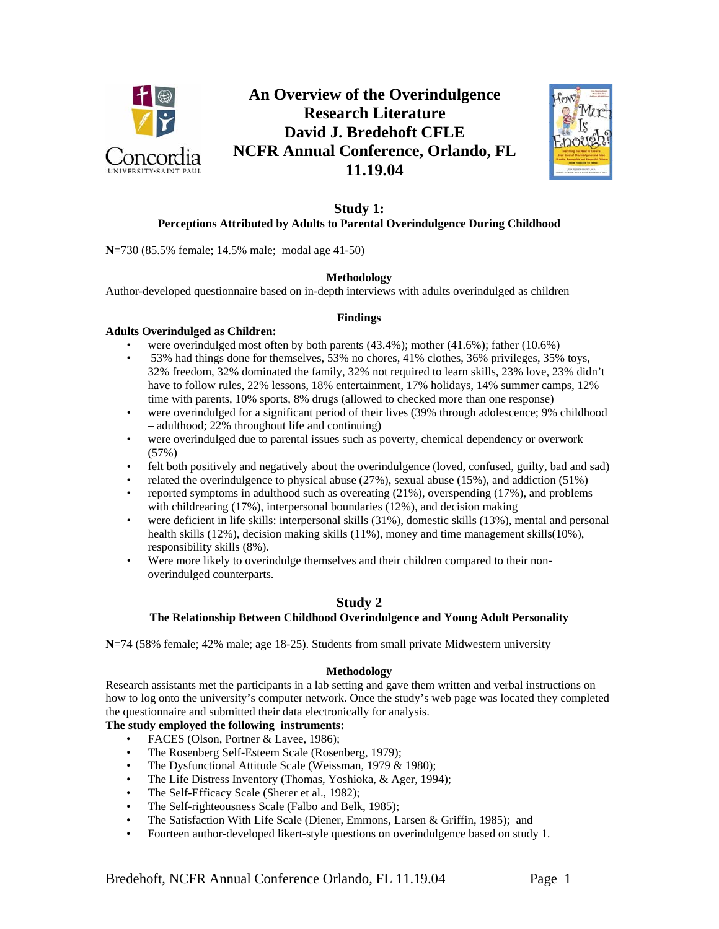

# **An Overview of the Overindulgence Research Literature David J. Bredehoft CFLE NCFR Annual Conference, Orlando, FL 11.19.04**



## **Study 1: Perceptions Attributed by Adults to Parental Overindulgence During Childhood**

**N**=730 (85.5% female; 14.5% male; modal age 41-50)

# **Methodology**

Author-developed questionnaire based on in-depth interviews with adults overindulged as children

## **Findings**

## **Adults Overindulged as Children:**

- were overindulged most often by both parents  $(43.4\%)$ ; mother  $(41.6\%)$ ; father  $(10.6\%)$
- 53% had things done for themselves, 53% no chores, 41% clothes, 36% privileges, 35% toys, 32% freedom, 32% dominated the family, 32% not required to learn skills, 23% love, 23% didn't have to follow rules, 22% lessons, 18% entertainment, 17% holidays, 14% summer camps, 12% time with parents, 10% sports, 8% drugs (allowed to checked more than one response)
- were overindulged for a significant period of their lives (39% through adolescence; 9% childhood – adulthood; 22% throughout life and continuing)
- were overindulged due to parental issues such as poverty, chemical dependency or overwork (57%)
- felt both positively and negatively about the overindulgence (loved, confused, guilty, bad and sad)
- related the overindulgence to physical abuse  $(27\%)$ , sexual abuse  $(15\%)$ , and addiction  $(51\%)$
- reported symptoms in adulthood such as overeating (21%), overspending (17%), and problems with childrearing (17%), interpersonal boundaries (12%), and decision making
- were deficient in life skills: interpersonal skills (31%), domestic skills (13%), mental and personal health skills (12%), decision making skills (11%), money and time management skills(10%), responsibility skills (8%).
- Were more likely to overindulge themselves and their children compared to their nonoverindulged counterparts.

# **Study 2**

# **The Relationship Between Childhood Overindulgence and Young Adult Personality**

**N**=74 (58% female; 42% male; age 18-25). Students from small private Midwestern university

## **Methodology**

Research assistants met the participants in a lab setting and gave them written and verbal instructions on how to log onto the university's computer network. Once the study's web page was located they completed the questionnaire and submitted their data electronically for analysis.

# **The study employed the following instruments:**

- FACES (Olson, Portner & Lavee, 1986);
- The Rosenberg Self-Esteem Scale (Rosenberg, 1979);
- The Dysfunctional Attitude Scale (Weissman, 1979 & 1980);
- The Life Distress Inventory (Thomas, Yoshioka, & Ager, 1994);
- The Self-Efficacy Scale (Sherer et al., 1982);
- The Self-righteousness Scale (Falbo and Belk, 1985);
- The Satisfaction With Life Scale (Diener, Emmons, Larsen & Griffin, 1985); and
- Fourteen author-developed likert-style questions on overindulgence based on study 1.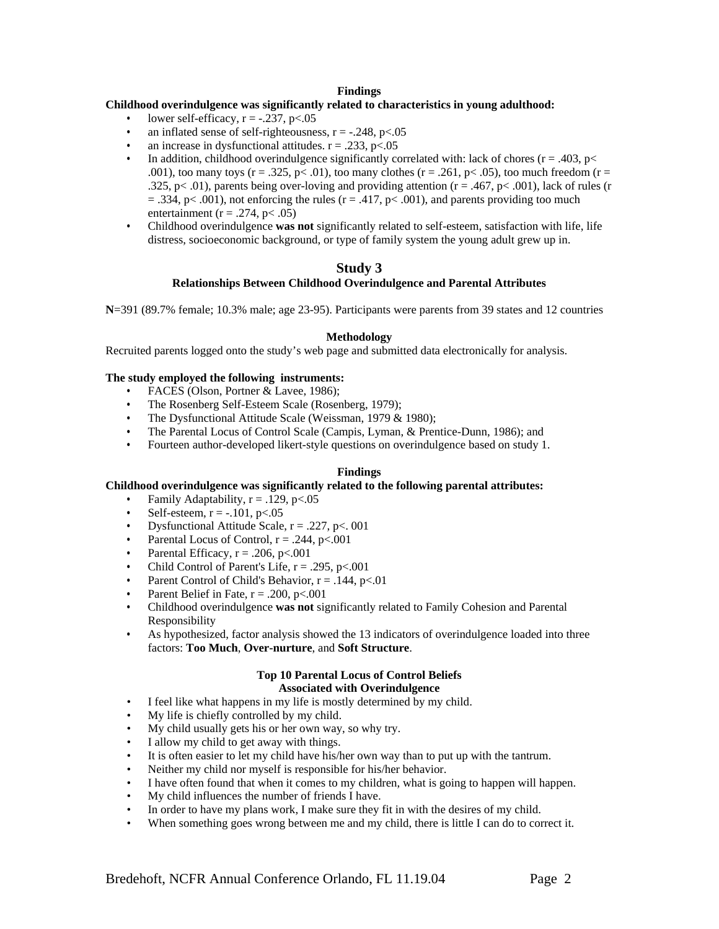## **Findings**

## **Childhood overindulgence was significantly related to characteristics in young adulthood:**

- lower self-efficacy,  $r = -.237$ ,  $p < .05$
- an inflated sense of self-righteousness,  $r = -.248$ ,  $p < .05$
- an increase in dysfunctional attitudes.  $r = .233$ ,  $p < .05$
- In addition, childhood overindulgence significantly correlated with: lack of chores ( $r = .403$ ,  $p <$ .001), too many toys ( $r = .325$ ,  $p < .01$ ), too many clothes ( $r = .261$ ,  $p < .05$ ), too much freedom ( $r = .01$ ) .325, p< .01), parents being over-loving and providing attention ( $r = .467$ ,  $p < .001$ ), lack of rules (r  $= .334$ , p $< .001$ ), not enforcing the rules (r = .417, p $< .001$ ), and parents providing too much entertainment ( $r = .274$ ,  $p < .05$ )
- Childhood overindulgence **was not** significantly related to self-esteem, satisfaction with life, life distress, socioeconomic background, or type of family system the young adult grew up in.

# **Study 3**

#### **Relationships Between Childhood Overindulgence and Parental Attributes**

**N**=391 (89.7% female; 10.3% male; age 23-95). Participants were parents from 39 states and 12 countries

#### **Methodology**

Recruited parents logged onto the study's web page and submitted data electronically for analysis.

#### **The study employed the following instruments:**

- FACES (Olson, Portner & Lavee, 1986);
- The Rosenberg Self-Esteem Scale (Rosenberg, 1979);
- The Dysfunctional Attitude Scale (Weissman, 1979 & 1980);
- The Parental Locus of Control Scale (Campis, Lyman, & Prentice-Dunn, 1986); and
- Fourteen author-developed likert-style questions on overindulgence based on study 1.

#### **Findings**

## **Childhood overindulgence was significantly related to the following parental attributes:**

- Family Adaptability,  $r = .129$ ,  $p < .05$
- Self-esteem,  $r = -.101$ ,  $p < .05$
- Dysfunctional Attitude Scale,  $r = .227$ ,  $p < .001$
- Parental Locus of Control,  $r = .244$ ,  $p < .001$
- Parental Efficacy,  $r = .206$ ,  $p < .001$
- Child Control of Parent's Life,  $r = .295$ ,  $p < .001$
- Parent Control of Child's Behavior,  $r = .144$ ,  $p < .01$
- Parent Belief in Fate,  $r = .200$ ,  $p < .001$
- Childhood overindulgence **was not** significantly related to Family Cohesion and Parental Responsibility
- As hypothesized, factor analysis showed the 13 indicators of overindulgence loaded into three factors: **Too Much**, **Over-nurture**, and **Soft Structure**.

#### **Top 10 Parental Locus of Control Beliefs Associated with Overindulgence**

- I feel like what happens in my life is mostly determined by my child.
- My life is chiefly controlled by my child.
- My child usually gets his or her own way, so why try.
- I allow my child to get away with things.
- It is often easier to let my child have his/her own way than to put up with the tantrum.
- Neither my child nor myself is responsible for his/her behavior.
- I have often found that when it comes to my children, what is going to happen will happen.
- My child influences the number of friends I have.
- In order to have my plans work, I make sure they fit in with the desires of my child.
- When something goes wrong between me and my child, there is little I can do to correct it.